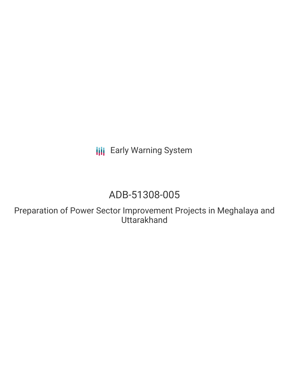**III** Early Warning System

# ADB-51308-005

Preparation of Power Sector Improvement Projects in Meghalaya and **Uttarakhand**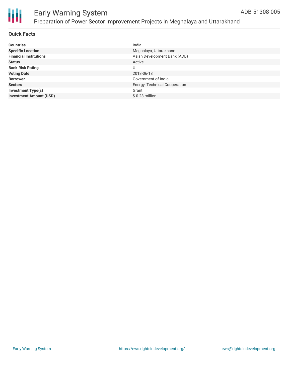

### **Quick Facts**

| <b>Countries</b>               | India                         |
|--------------------------------|-------------------------------|
| <b>Specific Location</b>       | Meghalaya, Uttarakhand        |
| <b>Financial Institutions</b>  | Asian Development Bank (ADB)  |
| <b>Status</b>                  | Active                        |
| <b>Bank Risk Rating</b>        | U                             |
| <b>Voting Date</b>             | 2018-06-18                    |
| <b>Borrower</b>                | Government of India           |
| <b>Sectors</b>                 | Energy, Technical Cooperation |
| <b>Investment Type(s)</b>      | Grant                         |
| <b>Investment Amount (USD)</b> | \$0.23 million                |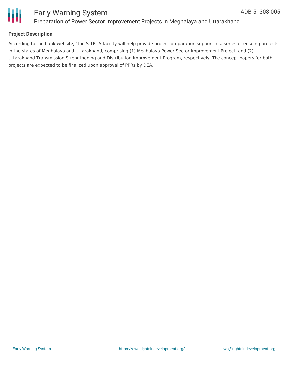

### **Project Description**

According to the bank website, "the S-TRTA facility will help provide project preparation support to a series of ensuing projects in the states of Meghalaya and Uttarakhand, comprising (1) Meghalaya Power Sector Improvement Project; and (2) Uttarakhand Transmission Strengthening and Distribution Improvement Program, respectively. The concept papers for both projects are expected to be finalized upon approval of PPRs by DEA.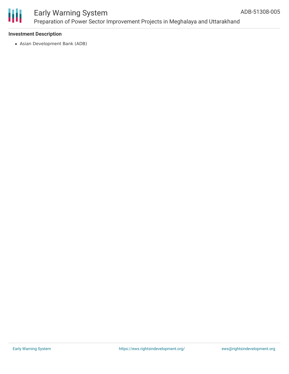

### **Investment Description**

Asian Development Bank (ADB)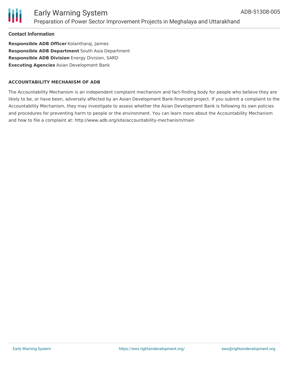

**Contact Information**

**Responsible ADB Officer** Kolantharaj, Jaimes **Responsible ADB Department** South Asia Department **Responsible ADB Division** Energy Division, SARD **Executing Agencies** Asian Development Bank

### **ACCOUNTABILITY MECHANISM OF ADB**

The Accountability Mechanism is an independent complaint mechanism and fact-finding body for people who believe they are likely to be, or have been, adversely affected by an Asian Development Bank-financed project. If you submit a complaint to the Accountability Mechanism, they may investigate to assess whether the Asian Development Bank is following its own policies and procedures for preventing harm to people or the environment. You can learn more about the Accountability Mechanism and how to file a complaint at: http://www.adb.org/site/accountability-mechanism/main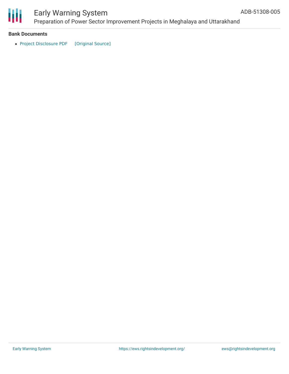

# Early Warning System

Preparation of Power Sector Improvement Projects in Meghalaya and Uttarakhand

### **Bank Documents**

• Project [Disclosure](https://ewsdata.rightsindevelopment.org/files/documents/05/ADB-51308-005.pdf) PDF [\[Original](https://www.adb.org/printpdf/projects/51308-005/main) Source]